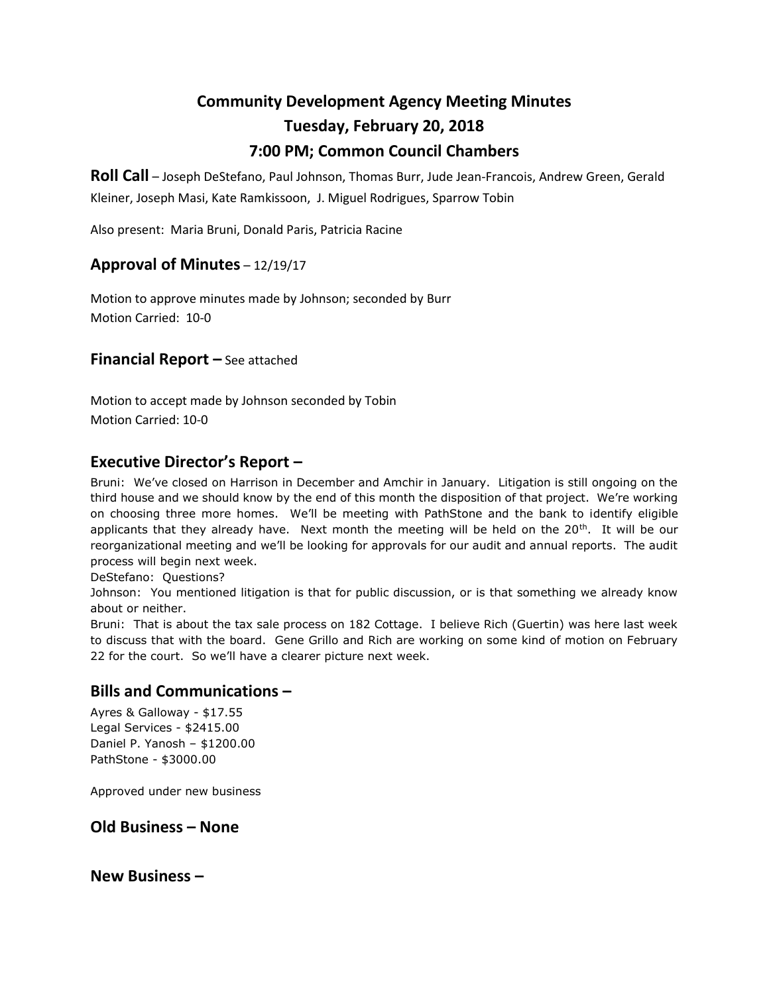# **Community Development Agency Meeting Minutes Tuesday, February 20, 2018 7:00 PM; Common Council Chambers**

**Roll Call** – Joseph DeStefano, Paul Johnson, Thomas Burr, Jude Jean-Francois, Andrew Green, Gerald Kleiner, Joseph Masi, Kate Ramkissoon, J. Miguel Rodrigues, Sparrow Tobin

Also present: Maria Bruni, Donald Paris, Patricia Racine

## **Approval of Minutes** – 12/19/17

Motion to approve minutes made by Johnson; seconded by Burr Motion Carried: 10-0

**Financial Report –** See attached

Motion to accept made by Johnson seconded by Tobin Motion Carried: 10-0

## **Executive Director's Report –**

Bruni: We've closed on Harrison in December and Amchir in January. Litigation is still ongoing on the third house and we should know by the end of this month the disposition of that project. We're working on choosing three more homes. We'll be meeting with PathStone and the bank to identify eligible applicants that they already have. Next month the meeting will be held on the  $20<sup>th</sup>$ . It will be our reorganizational meeting and we'll be looking for approvals for our audit and annual reports. The audit process will begin next week.

DeStefano: Questions?

Johnson: You mentioned litigation is that for public discussion, or is that something we already know about or neither.

Bruni: That is about the tax sale process on 182 Cottage. I believe Rich (Guertin) was here last week to discuss that with the board. Gene Grillo and Rich are working on some kind of motion on February 22 for the court. So we'll have a clearer picture next week.

#### **Bills and Communications –**

Ayres & Galloway - \$17.55 Legal Services - \$2415.00 Daniel P. Yanosh – \$1200.00 PathStone - \$3000.00

Approved under new business

#### **Old Business – None**

**New Business –**